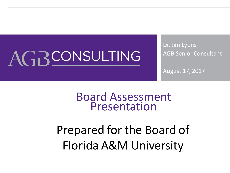# AGRCONSULTING

Dr. Jim Lyons AGB Senior Consultant

August 17, 2017

#### Board Assessment Presentation

## Prepared for the Board of Florida A&M University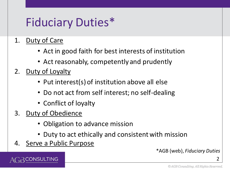### Fiduciary Duties\*

- 1. Duty of Care
	- Act in good faith for best interests of institution
	- Act reasonably, competently and prudently
- 2. Duty of Loyalty
	- Put interest(s) of institution above all else
	- Do not act from self interest; no self-dealing
	- Conflict of loyalty
- 3. Duty of Obedience
	- Obligation to advance mission
	- Duty to act ethically and consistent with mission
- 4. Serve a Public Purpose

\*AGB (web), *Fiduciary Duties*

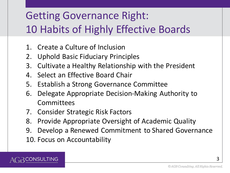#### Getting Governance Right: 10 Habits of Highly Effective Boards

- 1. Create a Culture of Inclusion
- 2. Uphold Basic Fiduciary Principles
- 3. Cultivate a Healthy Relationship with the President
- 4. Select an Effective Board Chair
- 5. Establish a Strong Governance Committee
- 6. Delegate Appropriate Decision-Making Authority to **Committees**
- 7. Consider Strategic Risk Factors
- 8. Provide Appropriate Oversight of Academic Quality
- 9. Develop a Renewed Commitment to Shared Governance
- 10. Focus on Accountability

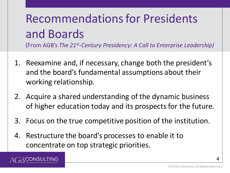# Recommendations for Presidents and Boards

(From AGB's *The 21st -Century Presidency: A Call to Enterprise Leadership)*

- 1. Reexamine and, if necessary, change both the president's and the board's fundamental assumptions about their working relationship.
- 2. Acquire a shared understanding of the dynamic business of higher education today and its prospects for the future.
- 3. Focus on the true competitive position of the institution.
- 4. Restructure the board's processes to enable it to concentrate on top strategic priorities.

)NSULTING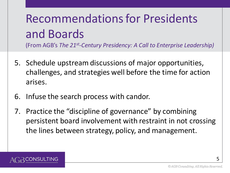# Recommendations for Presidents and Boards

(From AGB's *The 21st -Century Presidency: A Call to Enterprise Leadership)*

- 5. Schedule upstream discussions of major opportunities, challenges, and strategies well before the time for action arises.
- 6. Infuse the search process with candor.
- 7. Practice the "discipline of governance" by combining persistent board involvement with restraint in not crossing the lines between strategy, policy, and management.

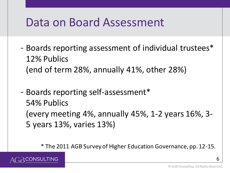#### Data on Board Assessment

- Boards reporting assessment of individual trustees\* 12% Publics (end of term 28%, annually 41%, other 28%)
- Boards reporting self-assessment\* 54% Publics (every meeting 4%, annually 45%, 1-2 years 16%, 3- 5 years 13%, varies 13%)

\* The 2011 AGB Survey of Higher Education Governance, pp. 12-15.

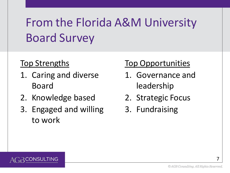# From the Florida A&M University Board Survey

#### Top Strengths

- 1. Caring and diverse Board
- 2. Knowledge based
- 3. Engaged and willing to work

#### Top Opportunities

- 1. Governance and leadership
- 2. Strategic Focus
- 3. Fundraising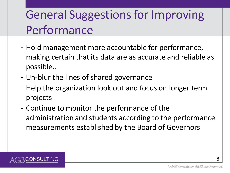## General Suggestions for Improving Performance

- Hold management more accountable for performance, making certain that its data are as accurate and reliable as possible…
- Un-blur the lines of shared governance
- Help the organization look out and focus on longer term projects
- Continue to monitor the performance of the administration and students according to the performance measurements established by the Board of Governors

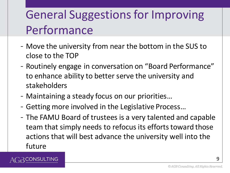## General Suggestions for Improving Performance

- Move the university from near the bottom in the SUS to close to the TOP
- Routinely engage in conversation on "Board Performance" to enhance ability to better serve the university and stakeholders
- Maintaining a steady focus on our priorities…

NSULTING

- Getting more involved in the Legislative Process…
- The FAMU Board of trustees is a very talented and capable team that simply needs to refocus its efforts toward those actions that will best advance the university well into the future